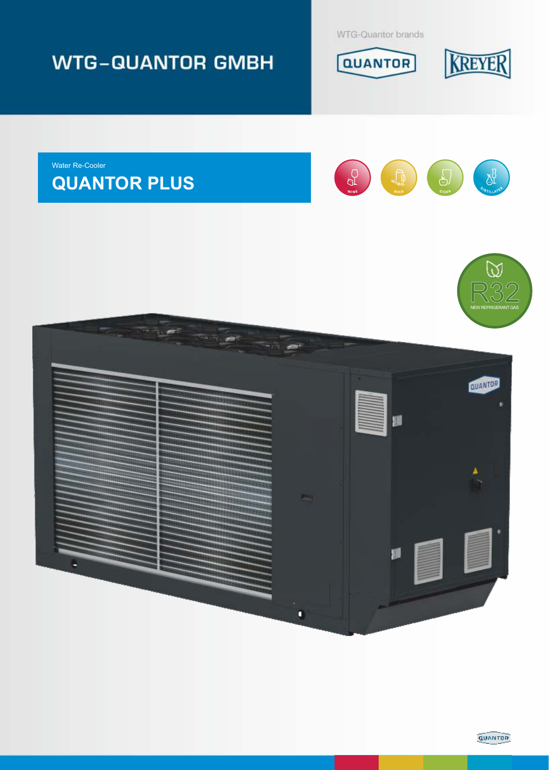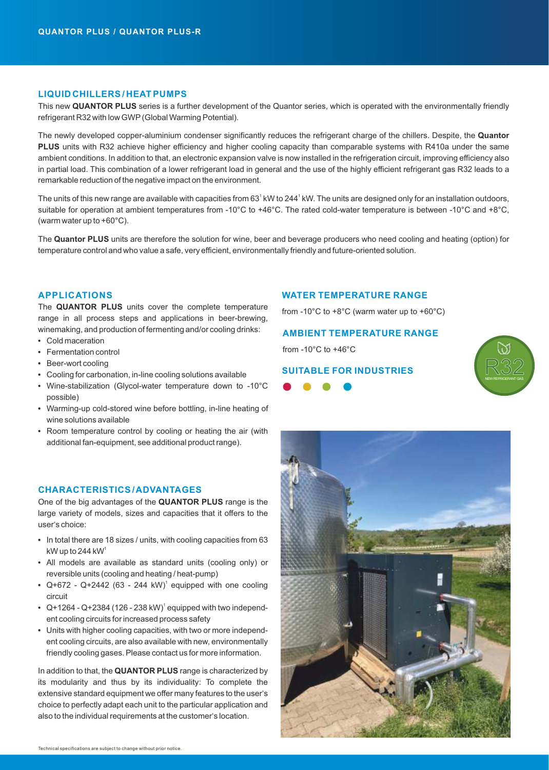# **LIQUID CHILLERS / HEAT PUMPS**

This new **QUANTOR PLUS** series is a further development of the Quantor series, which is operated with the environmentally friendly refrigerant R32 with low GWP(Global Warming Potential).

The newly developed copper-aluminium condenser significantly reduces the refrigerant charge of the chillers. Despite, the **Quantor PLUS** units with R32 achieve higher efficiency and higher cooling capacity than comparable systems with R410a under the same ambient conditions. In addition to that, an electronic expansion valve is now installed in the refrigeration circuit, improving efficiency also in partial load. This combination of a lower refrigerant load in general and the use of the highly efficient refrigerant gas R32 leads to a remarkable reduction of the negative impact on the environment.

The units of this new range are available with capacities from 63<sup>1</sup> kW to 244<sup>1</sup> kW. The units are designed only for an installation outdoors, suitable for operation at ambient temperatures from -10°C to +46°C. The rated cold-water temperature is between -10°C and +8°C, (warm water up to +60°C).

The **Quantor PLUS** units are therefore the solution for wine, beer and beverage producers who need cooling and heating (option) for temperature control and who value a safe, very efficient, environmentally friendly and future-oriented solution.

### **APPLICATIONS**

The **QUANTOR PLUS** units cover the complete temperature range in all process steps and applications in beer-brewing, winemaking, and production of fermenting and/or cooling drinks:

- **•** Cold maceration
- **•** Fermentation control
- **•** Beer-wort cooling
- **•** Cooling for carbonation, in-line cooling solutions available
- **•** Wine-stabilization (Glycol-water temperature down to -10°C possible)
- **•** Warming-up cold-stored wine before bottling, in-line heating of wine solutions available
- **•** Room temperature control by cooling or heating the air (with additional fan-equipment, see additional product range).

### **CHARACTERISTICS / ADVANTAGES**

One of the big advantages of the **QUANTOR PLUS** range is the large variety of models, sizes and capacities that it offers to the user's choice:

- **•** In total there are 18 sizes / units, with cooling capacities from 63 kW up to 244 kW $^{\rm t}$
- **•** All models are available as standard units (cooling only) or reversible units (cooling and heating / heat-pump)
- Q+672 Q+2442 (63 244 kW)<sup>1</sup> equipped with one cooling circuit
- Q+1264 Q+2384 (126 238 kW)<sup>1</sup> equipped with two independent cooling circuits for increased process safety
- **•** Units with higher cooling capacities, with two or more independent cooling circuits, are also available with new, environmentally friendly cooling gases. Please contact us for more information.

In addition to that, the **QUANTOR PLUS** range is characterized by its modularity and thus by its individuality: To complete the extensive standard equipment we offer many features to the user's choice to perfectly adapt each unit to the particular application and also to the individual requirements at the customer's location.

#### **WATER TEMPERATURE RANGE**

from -10 $^{\circ}$ C to +8 $^{\circ}$ C (warm water up to +60 $^{\circ}$ C)

## **AMBIENT TEMPERATURE RANGE**

from -10°C to +46°C

# **SUITABLE FOR INDUSTRIES**





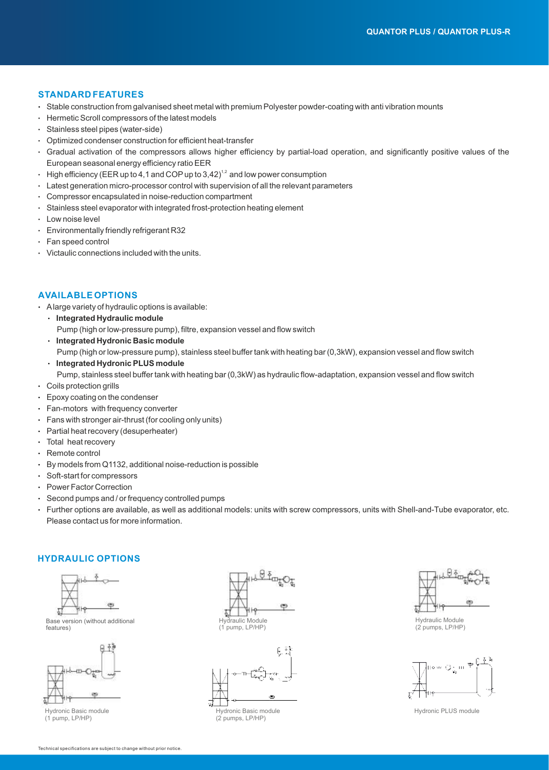### **STANDARD FEATURES**

- · Stable construction from galvanised sheet metal with premium Polyester powder-coating with anti vibration mounts
- · Hermetic Scroll compressors of the latest models
- · Stainless steel pipes (water-side)
- · Optimized condenser construction for efficient heat-transfer
- · Gradual activation of the compressors allows higher efficiency by partial-load operation, and significantly positive values of the European seasonal energy efficiency ratio EER
- $\,\cdot\,\,$  High efficiency (EER up to 4,1 and COP up to 3,42) $^{1,2}$  and low power consumption
- · Latest generation micro-processor control with supervision of all the relevant parameters
- · Compressor encapsulated in noise-reduction compartment
- · Stainless steel evaporator with integrated frost-protection heating element
- · Low noise level
- · Environmentally friendly refrigerant R32
- · Fan speed control
- · Victaulic connections included with the units.

## **AVAILABLE OPTIONS**

- · Alarge variety of hydraulic options is available:
	- · **Integrated Hydraulic module** Pump (high or low-pressure pump), filtre, expansion vessel and flow switch
- · **Integrated Hydronic Basic module** Pump (high or low-pressure pump), stainless steel buffer tank with heating bar (0,3kW), expansion vessel and flow switch
- · **Integrated Hydronic PLUS module**
	- Pump, stainless steel buffer tank with heating bar (0,3kW) as hydraulic flow-adaptation, expansion vessel and flow switch
- · Coils protection grills
- · Epoxy coating on the condenser
- · Fan-motors with frequency converter
- · Fans with stronger air-thrust (for cooling only units)
- · Partial heat recovery (desuperheater)
- · Total heat recovery
- · Remote control
- · By models from Q1132, additional noise-reduction is possible
- · Soft-start for compressors
- · Power Factor Correction
- · Second pumps and / or frequency controlled pumps
- · Further options are available, as well as additional models: units with screw compressors, units with Shell-and-Tube evaporator, etc. Please contact us for more information.

## **HYDRAULIC OPTIONS**



Base version (without additional features)



Hydronic Basic module (1 pump, LP/HP)







Hydraulic Module (2 pumps, LP/HP)



Hydronic PLUS module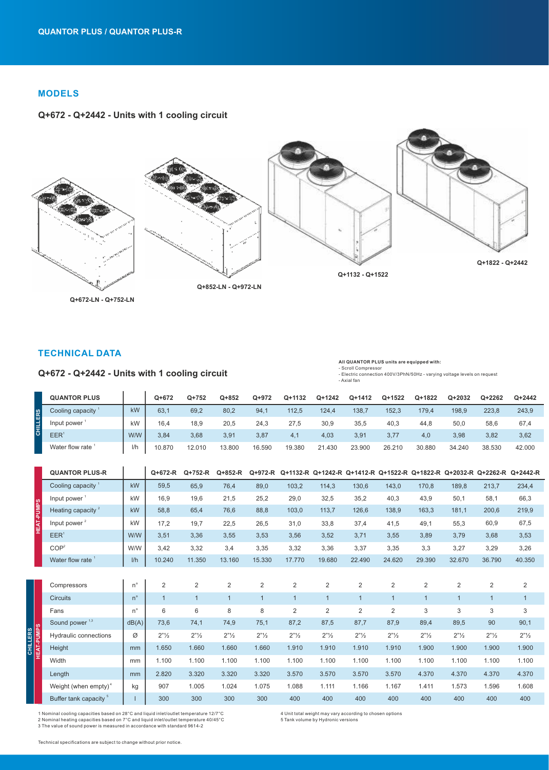# **MODELS**

## **Q+672 - Q+2442 - Units with 1 cooling circuit**



**Q+672-LN - Q+752-LN**

# **TECHNICAL DATA**

| - Scroll Compressor<br>Q+672 - Q+2442 - Units with 1 cooling circuit<br>- Electric connection 400V/3PhN/50Hz - varying voltage levels on request<br>- Axial fan |                     |     |         |         |           |        |        |          |          |          |          |        |          |        |
|-----------------------------------------------------------------------------------------------------------------------------------------------------------------|---------------------|-----|---------|---------|-----------|--------|--------|----------|----------|----------|----------|--------|----------|--------|
|                                                                                                                                                                 | <b>QUANTOR PLUS</b> |     | $Q+672$ | $Q+752$ | $Q + 852$ | Q+972  | Q+1132 | $Q+1242$ | $Q+1412$ | $Q+1522$ | $Q+1822$ | Q+2032 | $Q+2262$ | Q+2442 |
| <b>CHILLERS</b>                                                                                                                                                 | Cooling capacity    | kW  | 63,1    | 69,2    | 80,2      | 94,1   | 112,5  | 124.4    | 138,7    | 152,3    | 179,4    | 198,9  | 223,8    | 243,9  |
|                                                                                                                                                                 | Input power         | kW  | 16,4    | 18,9    | 20,5      | 24,3   | 27.5   | 30,9     | 35,5     | 40,3     | 44,8     | 50,0   | 58,6     | 67,4   |
|                                                                                                                                                                 | EER <sup>1</sup>    | W/W | 3,84    | 3,68    | 3,91      | 3,87   | 4.1    | 4,03     | 3,91     | 3,77     | 4,0      | 3,98   | 3,82     | 3,62   |
|                                                                                                                                                                 | Water flow rate     | l/h | 10.870  | 12.010  | 13.800    | 16.590 | 19.380 | 21.430   | 23.900   | 26.210   | 30.880   | 34.240 | 38.530   | 42.000 |

**All QUANTOR PLUS units are equipped with:**

|                   | <b>QUANTOR PLUS-R</b>             |             | Q+672-R      | Q+752-R                          | Q+852-R                          | Q+972-R                          |                    |                                  | Q+1132-R Q+1242-R Q+1412-R Q+1522-R Q+1822-R Q+2032-R Q+2262-R Q+2442-R |                                  |                                  |                                  |                               |                                  |
|-------------------|-----------------------------------|-------------|--------------|----------------------------------|----------------------------------|----------------------------------|--------------------|----------------------------------|-------------------------------------------------------------------------|----------------------------------|----------------------------------|----------------------------------|-------------------------------|----------------------------------|
|                   | Cooling capacity $1$              | kW          | 59,5         | 65,9                             | 76,4                             | 89,0                             | 103,2              | 114,3                            | 130.6                                                                   | 143,0                            | 170.8                            | 189.8                            | 213,7                         | 234,4                            |
|                   | Input power                       | kW          | 16,9         | 19,6                             | 21,5                             | 25,2                             | 29,0               | 32,5                             | 35,2                                                                    | 40,3                             | 43,9                             | 50,1                             | 58,1                          | 66,3                             |
|                   | Heating capacity $2$              | kW          | 58,8         | 65,4                             | 76,6                             | 88,8                             | 103,0              | 113,7                            | 126,6                                                                   | 138,9                            | 163,3                            | 181,1                            | 200,6                         | 219,9                            |
| <b>HEAT-PUMPS</b> | Input power <sup>2</sup>          | kW          | 17,2         | 19,7                             | 22,5                             | 26,5                             | 31,0               | 33,8                             | 37,4                                                                    | 41,5                             | 49,1                             | 55,3                             | 60,9                          | 67,5                             |
|                   | EER <sup>1</sup>                  | W/W         | 3.51         | 3.36                             | 3,55                             | 3,53                             | 3,56               | 3,52                             | 3.71                                                                    | 3,55                             | 3.89                             | 3,79                             | 3,68                          | 3,53                             |
|                   | COP <sup>2</sup>                  | W/W         | 3.42         | 3.32                             | 3,4                              | 3,35                             | 3,32               | 3,36                             | 3.37                                                                    | 3,35                             | 3,3                              | 3.27                             | 3,29                          | 3,26                             |
|                   | Water flow rate <sup>1</sup>      | I/h         | 10.240       | 11.350                           | 13.160                           | 15.330                           | 17.770             | 19.680                           | 22.490                                                                  | 24.620                           | 29.390                           | 32.670                           | 36.790                        | 40.350                           |
|                   |                                   |             |              |                                  |                                  |                                  |                    |                                  |                                                                         |                                  |                                  |                                  |                               |                                  |
|                   | Compressors                       | $n^{\circ}$ | 2            | $\overline{2}$                   | 2                                | 2                                | 2                  | $\overline{2}$                   | 2                                                                       | 2                                | $\overline{2}$                   | $\overline{2}$                   | 2                             | 2                                |
|                   | <b>Circuits</b>                   | $n^{\circ}$ | $\mathbf{1}$ | $\mathbf{1}$                     | $\overline{1}$                   | $\mathbf{1}$                     | $\mathbf{1}$       | $\mathbf{1}$                     | $\mathbf{1}$                                                            | $\mathbf{1}$                     | $\overline{1}$                   | $\mathbf{1}$                     | $\mathbf{1}$                  | $\mathbf{1}$                     |
|                   | Fans                              | $n^{\circ}$ | 6            | 6                                | 8                                | 8                                | $\overline{2}$     | $\overline{2}$                   | $\overline{2}$                                                          | 2                                | 3                                | 3                                | 3                             | $\sqrt{3}$                       |
|                   | Sound power <sup>1,3</sup>        | dB(A)       | 73,6         | 74,1                             | 74,9                             | 75,1                             | 87,2               | 87,5                             | 87,7                                                                    | 87,9                             | 89,4                             | 89,5                             | 90                            | 90,1                             |
| <b>HEAT-PUMPS</b> | Hydraulic connections             | Ø           | 2"1/2"       | $2"$ <sup>1</sup> / <sub>2</sub> | $2"$ <sup>1</sup> / <sub>2</sub> | $2"$ <sup>1</sup> / <sub>2</sub> | 2 <sup>n</sup> 1/2 | $2"$ <sup>1</sup> / <sub>2</sub> | $2"$ <sup>1</sup> / <sub>2</sub>                                        | $2"$ <sup>1</sup> / <sub>2</sub> | $2"$ <sup>1</sup> / <sub>2</sub> | $2"$ <sup>1</sup> / <sub>2</sub> | 2 <sup>n</sup> / <sub>2</sub> | $2"$ <sup>1</sup> / <sub>2</sub> |
|                   | Height                            | mm          | 1.650        | 1.660                            | 1.660                            | 1.660                            | 1.910              | 1.910                            | 1.910                                                                   | 1.910                            | 1.900                            | 1.900                            | 1.900                         | 1.900                            |
|                   | Width                             | mm          | 1.100        | 1.100                            | 1.100                            | 1.100                            | 1.100              | 1.100                            | 1.100                                                                   | 1.100                            | 1.100                            | 1.100                            | 1.100                         | 1.100                            |
|                   | Length                            | mm          | 2.820        | 3.320                            | 3.320                            | 3.320                            | 3.570              | 3.570                            | 3.570                                                                   | 3.570                            | 4.370                            | 4.370                            | 4.370                         | 4.370                            |
|                   | Weight (when empty) <sup>4</sup>  | kg          | 907          | 1.005                            | 1.024                            | 1.075                            | 1.088              | 1.111                            | 1.166                                                                   | 1.167                            | 1.411                            | 1.573                            | 1.596                         | 1.608                            |
|                   | Buffer tank capacity <sup>5</sup> |             | 300          | 300                              | 300                              | 300                              | 400                | 400                              | 400                                                                     | 400                              | 400                              | 400                              | 400                           | 400                              |

1 Nominal cooling capacities based on 28°C and liquid inlet/outlet temperature 12/7°C 2 Nominal heating capacities based on 7°C and liquid inlet/outlet temperature 40/45°C 3 The value of sound power is measured in accordance with standard 9614-2

4 Unit total weight may vary according to chosen options 5 Tank volume by Hydronic versions

Technical specifications are subject to change without prior notice.

**CHILLERS**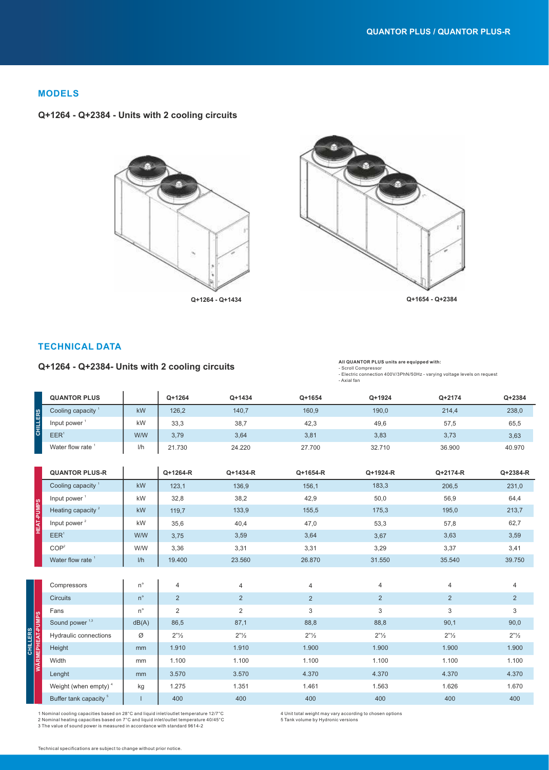# **MODELS**

## **Q+1264 - Q+2384 - Units with 2 cooling circuits**





# **TECHNICAL DATA**

## **Q+1264 - Q+2384- Units with 2 cooling circuits**

#### **All QUANTOR PLUS units are equipped with:** - Scroll Compressor - Electric connection 400V/3PhN/50Hz - varying voltage levels on request - Axial fan

|                   | <b>QUANTOR PLUS</b>               |             | $Q+1264$           | Q+1434         | Q+1654             | Q+1924                           | Q+2174         | $Q + 2384$     |
|-------------------|-----------------------------------|-------------|--------------------|----------------|--------------------|----------------------------------|----------------|----------------|
| CHILLERS          | Cooling capacity <sup>1</sup>     | kW          | 126,2              | 140,7          | 160,9              | 190,0                            | 214,4          | 238,0          |
|                   | Input power $1$                   | kW          | 33,3               | 38,7           | 42,3               | 49,6                             | 57,5           | 65,5           |
|                   | EER <sup>1</sup>                  | W/W         | 3,79               | 3,64           | 3,81               | 3,83                             | 3,73           | 3,63           |
|                   | Water flow rate <sup>1</sup>      | I/h         | 21.730             | 24.220         | 27.700             | 32.710                           | 36.900         | 40.970         |
|                   |                                   |             |                    |                |                    |                                  |                |                |
|                   | <b>QUANTOR PLUS-R</b>             |             | Q+1264-R           | Q+1434-R       | Q+1654-R           | Q+1924-R                         | Q+2174-R       | Q+2384-R       |
|                   | Cooling capacity <sup>1</sup>     | kW          | 123,1              | 136,9          | 156,1              | 183,3                            | 206,5          | 231,0          |
|                   | Input power <sup>1</sup>          | kW          | 32,8               | 38,2           | 42,9               | 50,0                             | 56,9           | 64,4           |
|                   | Heating capacity <sup>2</sup>     | kW          | 119,7              | 133,9          | 155,5              | 175,3                            | 195,0          | 213,7          |
| <b>HEAT-PUMPS</b> | Input power <sup>2</sup>          | kW          | 35,6               | 40,4           | 47,0               | 53,3                             | 57,8           | 62,7           |
|                   | EER <sup>1</sup>                  | W/W         | 3,75               | 3,59           | 3,64               | 3,67                             | 3,63           | 3,59           |
|                   | COP <sup>2</sup>                  | W/W         | 3,36               | 3,31           | 3,31               | 3,29                             | 3,37           | 3,41           |
|                   | Water flow rate <sup>1</sup>      | I/h         | 19.400             | 23.560         | 26.870             | 31.550                           | 35.540         | 39.750         |
|                   |                                   |             |                    |                |                    |                                  |                |                |
|                   | Compressors                       | $n^{\circ}$ | 4                  | $\overline{4}$ | 4                  | $\overline{4}$                   | $\overline{4}$ | $\overline{4}$ |
| WÄRMEPHEAT-PUMPS  | <b>Circuits</b>                   | $n^{\circ}$ | $\overline{2}$     | 2              | 2                  | 2                                | $\overline{2}$ | 2              |
|                   | Fans                              | $n^{\circ}$ | $\overline{2}$     | 2              | 3                  | 3                                | 3              | 3              |
|                   | Sound power <sup>1,3</sup>        | dB(A)       | 86,5               | 87,1           | 88,8               | 88,8                             | 90,1           | 90,0           |
|                   | Hydraulic connections             | Ø           | 2 <sup>n</sup> 1/2 | 2"1/2          | 2 <sup>n</sup> 1/2 | $2"$ <sup>1</sup> / <sub>2</sub> | 2"1/2"         | 2"1/2"         |
|                   | Height                            | mm          | 1.910              | 1.910          | 1.900              | 1.900                            | 1.900          | 1.900          |
|                   | Width                             | mm          | 1.100              | 1.100          | 1.100              | 1.100                            | 1.100          | 1.100          |
|                   | Lenght                            | mm          | 3.570              | 3.570          | 4.370              | 4.370                            | 4.370          | 4.370          |
|                   | Weight (when empty) <sup>4</sup>  | kg          | 1.275              | 1.351          | 1.461              | 1.563                            | 1.626          | 1.670          |
|                   | Buffer tank capacity <sup>5</sup> |             | 400                | 400            | 400                | 400                              | 400            | 400            |

1 Nominal cooling capacities based on 28°C and liquid inlet/outlet temperature 12/7°C 2 Nominal heating capacities based on 7°C and liquid inlet/outlet temperature 40/45°C 3 The value of sound power is measured in accordance with standard 9614-2

4 Unit total weight may vary according to chosen options

5 Tank volume by Hydronic versions

**CHILLERS**